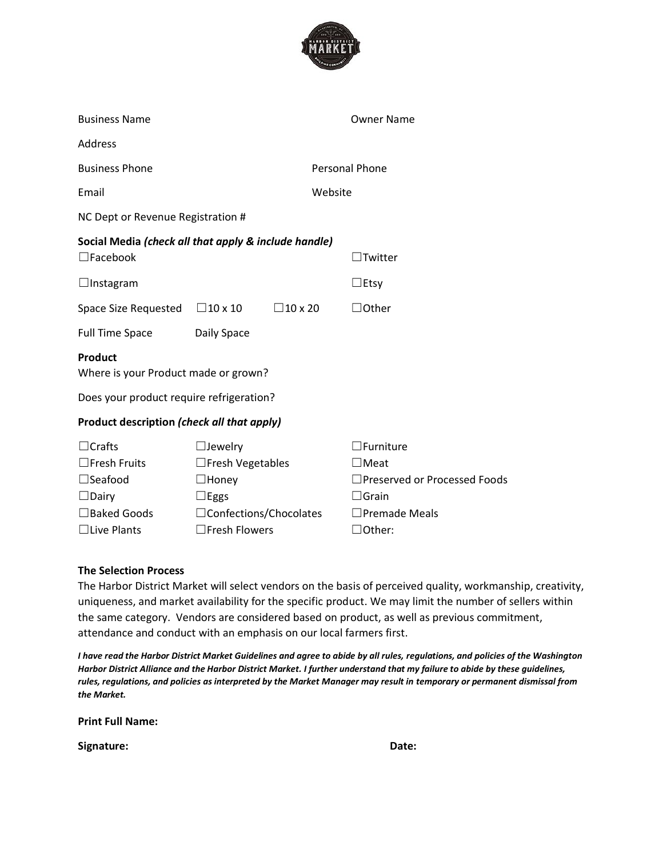

| <b>Business Name</b>                                                                                             |                                                                                                                                      |                       | <b>Owner Name</b>                                                                                                         |
|------------------------------------------------------------------------------------------------------------------|--------------------------------------------------------------------------------------------------------------------------------------|-----------------------|---------------------------------------------------------------------------------------------------------------------------|
| <b>Address</b>                                                                                                   |                                                                                                                                      |                       |                                                                                                                           |
| <b>Business Phone</b>                                                                                            |                                                                                                                                      | <b>Personal Phone</b> |                                                                                                                           |
| Email                                                                                                            |                                                                                                                                      | Website               |                                                                                                                           |
| NC Dept or Revenue Registration #                                                                                |                                                                                                                                      |                       |                                                                                                                           |
|                                                                                                                  | Social Media (check all that apply & include handle)                                                                                 |                       |                                                                                                                           |
| $\Box$ Facebook                                                                                                  |                                                                                                                                      |                       | $\operatorname{\mathsf{I}+}\nolimits$ Twitter                                                                             |
| $\Box$ Instagram                                                                                                 |                                                                                                                                      |                       | $\Box$ Etsy                                                                                                               |
| Space Size Requested $\Box$ 10 x 10                                                                              | $\Box$ 10 x 20                                                                                                                       |                       | $\Box$ Other                                                                                                              |
| <b>Full Time Space</b>                                                                                           | Daily Space                                                                                                                          |                       |                                                                                                                           |
| Product<br>Where is your Product made or grown?                                                                  |                                                                                                                                      |                       |                                                                                                                           |
| Does your product require refrigeration?                                                                         |                                                                                                                                      |                       |                                                                                                                           |
| Product description (check all that apply)                                                                       |                                                                                                                                      |                       |                                                                                                                           |
| $\Box$ Crafts<br>$\square$ Fresh Fruits<br>$\Box$ Seafood<br>$\Box$ Dairy<br>□ Baked Goods<br>$\Box$ Live Plants | $\Box$ Jewelry<br>$\Box$ Fresh Vegetables<br>$\Box$ Honey<br>$\Box$ Eggs<br>$\Box$ Confections/Chocolates<br>$\square$ Fresh Flowers |                       | $\Box$ Furniture<br>$\Box$ Meat<br>□Preserved or Processed Foods<br>$\Box$ Grain<br>$\Box$ Premade Meals<br>$\Box$ Other: |
|                                                                                                                  |                                                                                                                                      |                       |                                                                                                                           |

# **The Selection Process**

The Harbor District Market will select vendors on the basis of perceived quality, workmanship, creativity, uniqueness, and market availability for the specific product. We may limit the number of sellers within the same category. Vendors are considered based on product, as well as previous commitment, attendance and conduct with an emphasis on our local farmers first.

*I have read the Harbor District Market Guidelines and agree to abide by all rules, regulations, and policies of the Washington Harbor District Alliance and the Harbor District Market. I further understand that my failure to abide by these guidelines, rules, regulations, and policies as interpreted by the Market Manager may result in temporary or permanent dismissal from the Market.*

**Print Full Name:** 

**Signature: Date:**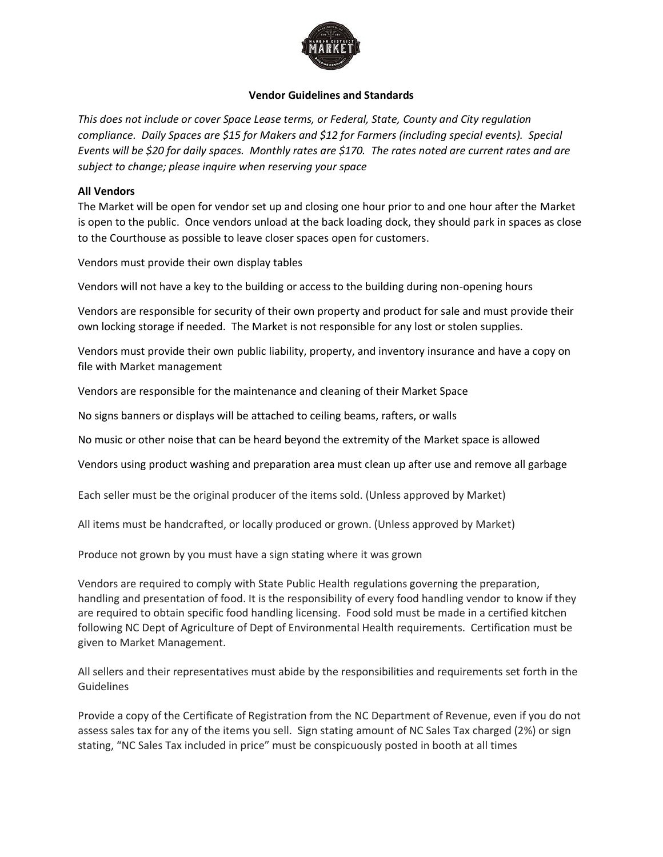

## **Vendor Guidelines and Standards**

*This does not include or cover Space Lease terms, or Federal, State, County and City regulation compliance. Daily Spaces are \$15 for Makers and \$12 for Farmers (including special events). Special Events will be \$20 for daily spaces. Monthly rates are \$170. The rates noted are current rates and are subject to change; please inquire when reserving your space*

### **All Vendors**

The Market will be open for vendor set up and closing one hour prior to and one hour after the Market is open to the public. Once vendors unload at the back loading dock, they should park in spaces as close to the Courthouse as possible to leave closer spaces open for customers.

Vendors must provide their own display tables

Vendors will not have a key to the building or access to the building during non-opening hours

Vendors are responsible for security of their own property and product for sale and must provide their own locking storage if needed. The Market is not responsible for any lost or stolen supplies.

Vendors must provide their own public liability, property, and inventory insurance and have a copy on file with Market management

Vendors are responsible for the maintenance and cleaning of their Market Space

No signs banners or displays will be attached to ceiling beams, rafters, or walls

No music or other noise that can be heard beyond the extremity of the Market space is allowed

Vendors using product washing and preparation area must clean up after use and remove all garbage

Each seller must be the original producer of the items sold. (Unless approved by Market)

All items must be handcrafted, or locally produced or grown. (Unless approved by Market)

Produce not grown by you must have a sign stating where it was grown

Vendors are required to comply with State Public Health regulations governing the preparation, handling and presentation of food. It is the responsibility of every food handling vendor to know if they are required to obtain specific food handling licensing. Food sold must be made in a certified kitchen following NC Dept of Agriculture of Dept of Environmental Health requirements. Certification must be given to Market Management.

All sellers and their representatives must abide by the responsibilities and requirements set forth in the Guidelines

Provide a copy of the Certificate of Registration from the NC Department of Revenue, even if you do not assess sales tax for any of the items you sell. Sign stating amount of NC Sales Tax charged (2%) or sign stating, "NC Sales Tax included in price" must be conspicuously posted in booth at all times